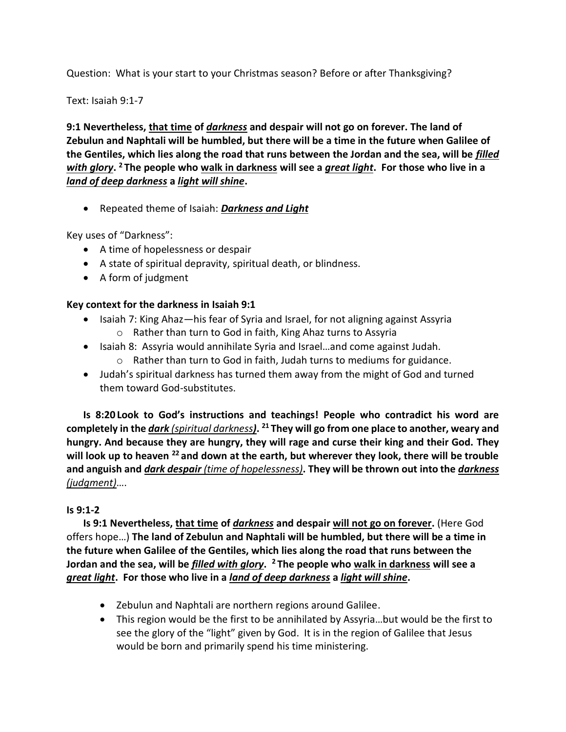Question: What is your start to your Christmas season? Before or after Thanksgiving?

Text: Isaiah 9:1-7

**9:1 Nevertheless, that time of** *darkness* **and despair will not go on forever. The land of Zebulun and Naphtali will be humbled, but there will be a time in the future when Galilee of the Gentiles, which lies along the road that runs between the Jordan and the sea, will be** *filled with glory***. <sup>2</sup> The people who walk in darkness will see a** *great light***. For those who live in a**  *land of deep darkness* **a** *light will shine***.**

• Repeated theme of Isaiah: *Darkness and Light*

Key uses of "Darkness":

- A time of hopelessness or despair
- A state of spiritual depravity, spiritual death, or blindness.
- A form of judgment

# **Key context for the darkness in Isaiah 9:1**

- Isaiah 7: King Ahaz—his fear of Syria and Israel, for not aligning against Assyria o Rather than turn to God in faith, King Ahaz turns to Assyria
- Isaiah 8: Assyria would annihilate Syria and Israel…and come against Judah.
	- o Rather than turn to God in faith, Judah turns to mediums for guidance.
- Judah's spiritual darkness has turned them away from the might of God and turned them toward God-substitutes.

**Is 8:20 Look to God's instructions and teachings! People who contradict his word are completely in the** *dark (spiritual darkness)***. <sup>21</sup> They will go from one place to another, weary and hungry. And because they are hungry, they will rage and curse their king and their God. They will look up to heaven <sup>22</sup> and down at the earth, but wherever they look, there will be trouble and anguish and** *dark despair (time of hopelessness)***. They will be thrown out into the** *darkness (judgment)*….

# **Is 9:1-2**

**Is 9:1 Nevertheless, that time of** *darkness* **and despair will not go on forever.** (Here God offers hope…) **The land of Zebulun and Naphtali will be humbled, but there will be a time in the future when Galilee of the Gentiles, which lies along the road that runs between the Jordan and the sea, will be** *filled with glory***. <sup>2</sup> The people who walk in darkness will see a**  *great light***. For those who live in a** *land of deep darkness* **a** *light will shine***.**

- Zebulun and Naphtali are northern regions around Galilee.
- This region would be the first to be annihilated by Assyria…but would be the first to see the glory of the "light" given by God. It is in the region of Galilee that Jesus would be born and primarily spend his time ministering.